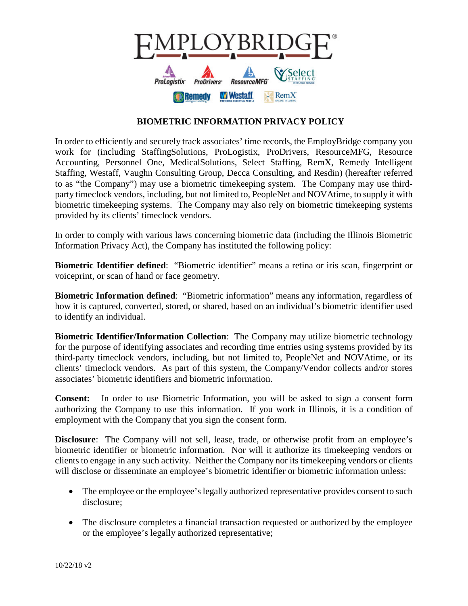

## **BIOMETRIC INFORMATION PRIVACY POLICY**

In order to efficiently and securely track associates' time records, the EmployBridge company you work for (including StaffingSolutions, ProLogistix, ProDrivers, ResourceMFG, Resource Accounting, Personnel One, MedicalSolutions, Select Staffing, RemX, Remedy Intelligent Staffing, Westaff, Vaughn Consulting Group, Decca Consulting, and Resdin) (hereafter referred to as "the Company") may use a biometric timekeeping system. The Company may use thirdparty timeclock vendors, including, but not limited to, PeopleNet and NOVAtime, to supply it with biometric timekeeping systems. The Company may also rely on biometric timekeeping systems provided by its clients' timeclock vendors.

In order to comply with various laws concerning biometric data (including the Illinois Biometric Information Privacy Act), the Company has instituted the following policy:

**Biometric Identifier defined**: "Biometric identifier" means a retina or iris scan, fingerprint or voiceprint, or scan of hand or face geometry.

**Biometric Information defined**: "Biometric information" means any information, regardless of how it is captured, converted, stored, or shared, based on an individual's biometric identifier used to identify an individual.

**Biometric Identifier/Information Collection**: The Company may utilize biometric technology for the purpose of identifying associates and recording time entries using systems provided by its third-party timeclock vendors, including, but not limited to, PeopleNet and NOVAtime, or its clients' timeclock vendors. As part of this system, the Company/Vendor collects and/or stores associates' biometric identifiers and biometric information.

**Consent:** In order to use Biometric Information, you will be asked to sign a consent form authorizing the Company to use this information. If you work in Illinois, it is a condition of employment with the Company that you sign the consent form.

**Disclosure**: The Company will not sell, lease, trade, or otherwise profit from an employee's biometric identifier or biometric information. Nor will it authorize its timekeeping vendors or clients to engage in any such activity. Neither the Company nor its timekeeping vendors or clients will disclose or disseminate an employee's biometric identifier or biometric information unless:

- The employee or the employee's legally authorized representative provides consent to such disclosure;
- The disclosure completes a financial transaction requested or authorized by the employee or the employee's legally authorized representative;